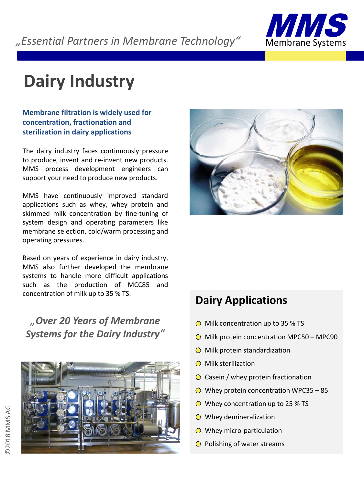

# **Dairy Industry**

### **Membrane filtration is widely used for concentration, fractionation and sterilization in dairy applications**

The dairy industry faces continuously pressure to produce, invent and re-invent new products. MMS process development engineers can support your need to produce new products.

MMS have continuously improved standard applications such as whey, whey protein and skimmed milk concentration by fine-tuning of system design and operating parameters like membrane selection, cold/warm processing and operating pressures.

Based on years of experience in dairy industry, MMS also further developed the membrane systems to handle more difficult applications such as the production of MCC85 and concentration of milk up to 35 % TS.

*"Over 20 Years of Membrane Systems for the Dairy Industry"*





## **Dairy Applications**

- $\bigcirc$  Milk concentration up to 35 % TS
- $\bigcirc$  Milk protein concentration MPC50 MPC90
- $\bigcirc$  Milk protein standardization
- $\bigcirc$  Milk sterilization
- Casein / whey protein fractionation
- $\odot$  Whey protein concentration WPC35 85
- Whey concentration up to 25 % TS
- Whey demineralization
- O Whey micro-particulation
- $\bigcirc$  Polishing of water streams